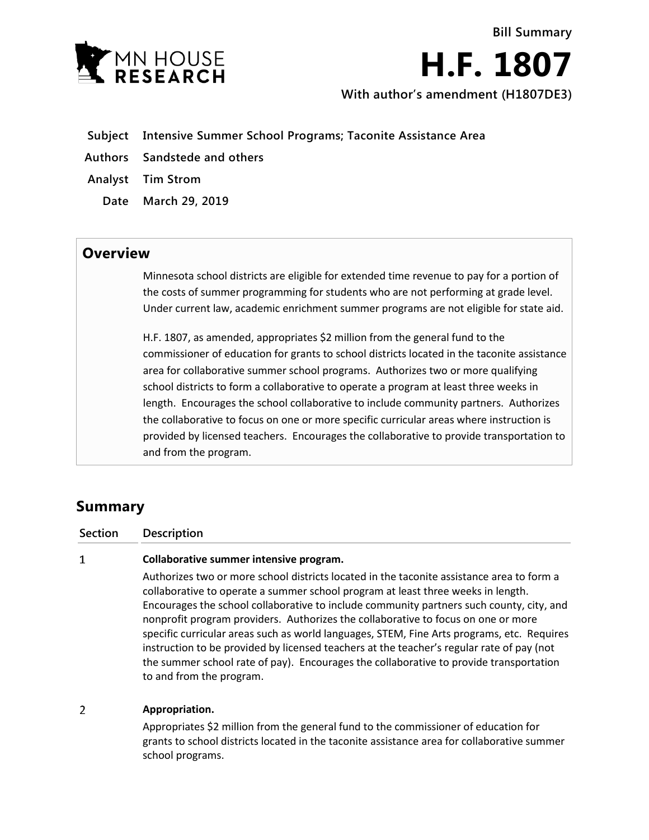

**H.F. 1807 With author's amendment (H1807DE3)**

**Bill Summary**

- **Subject Intensive Summer School Programs; Taconite Assistance Area**
- **Authors Sandstede and others**
- **Analyst Tim Strom**
	- **Date March 29, 2019**

## **Overview**

Minnesota school districts are eligible for extended time revenue to pay for a portion of the costs of summer programming for students who are not performing at grade level. Under current law, academic enrichment summer programs are not eligible for state aid.

H.F. 1807, as amended, appropriates \$2 million from the general fund to the commissioner of education for grants to school districts located in the taconite assistance area for collaborative summer school programs. Authorizes two or more qualifying school districts to form a collaborative to operate a program at least three weeks in length. Encourages the school collaborative to include community partners. Authorizes the collaborative to focus on one or more specific curricular areas where instruction is provided by licensed teachers. Encourages the collaborative to provide transportation to and from the program.

# **Summary**

 $\mathbf{1}$ 

### **Section Description**

### **Collaborative summer intensive program.**

Authorizes two or more school districts located in the taconite assistance area to form a collaborative to operate a summer school program at least three weeks in length. Encourages the school collaborative to include community partners such county, city, and nonprofit program providers. Authorizes the collaborative to focus on one or more specific curricular areas such as world languages, STEM, Fine Arts programs, etc. Requires instruction to be provided by licensed teachers at the teacher's regular rate of pay (not the summer school rate of pay). Encourages the collaborative to provide transportation to and from the program.

#### $\overline{2}$ **Appropriation.**

Appropriates \$2 million from the general fund to the commissioner of education for grants to school districts located in the taconite assistance area for collaborative summer school programs.